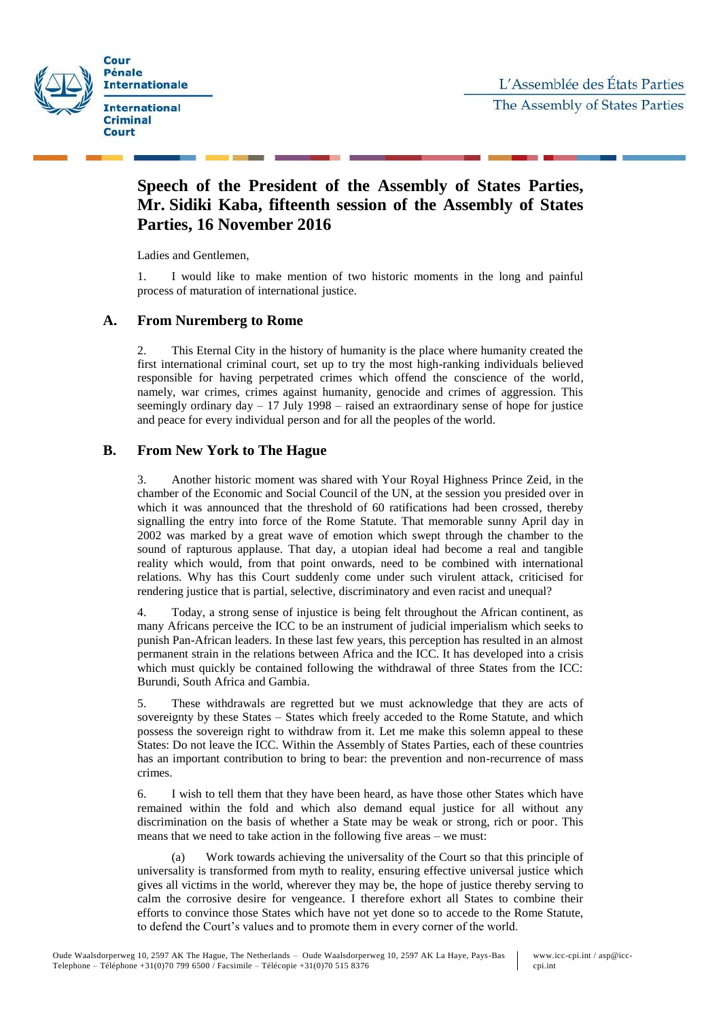

## **Speech of the President of the Assembly of States Parties, Mr. Sidiki Kaba, fifteenth session of the Assembly of States Parties, 16 November 2016**

Ladies and Gentlemen,

1. I would like to make mention of two historic moments in the long and painful process of maturation of international justice.

## **A. From Nuremberg to Rome**

2. This Eternal City in the history of humanity is the place where humanity created the first international criminal court, set up to try the most high-ranking individuals believed responsible for having perpetrated crimes which offend the conscience of the world, namely, war crimes, crimes against humanity, genocide and crimes of aggression. This seemingly ordinary day – 17 July 1998 – raised an extraordinary sense of hope for justice and peace for every individual person and for all the peoples of the world.

## **B. From New York to The Hague**

3. Another historic moment was shared with Your Royal Highness Prince Zeid, in the chamber of the Economic and Social Council of the UN, at the session you presided over in which it was announced that the threshold of 60 ratifications had been crossed, thereby signalling the entry into force of the Rome Statute. That memorable sunny April day in 2002 was marked by a great wave of emotion which swept through the chamber to the sound of rapturous applause. That day, a utopian ideal had become a real and tangible reality which would, from that point onwards, need to be combined with international relations. Why has this Court suddenly come under such virulent attack, criticised for rendering justice that is partial, selective, discriminatory and even racist and unequal?

4. Today, a strong sense of injustice is being felt throughout the African continent, as many Africans perceive the ICC to be an instrument of judicial imperialism which seeks to punish Pan-African leaders. In these last few years, this perception has resulted in an almost permanent strain in the relations between Africa and the ICC. It has developed into a crisis which must quickly be contained following the withdrawal of three States from the ICC: Burundi, South Africa and Gambia.

5. These withdrawals are regretted but we must acknowledge that they are acts of sovereignty by these States – States which freely acceded to the Rome Statute, and which possess the sovereign right to withdraw from it. Let me make this solemn appeal to these States: Do not leave the ICC. Within the Assembly of States Parties, each of these countries has an important contribution to bring to bear: the prevention and non-recurrence of mass crimes.

6. I wish to tell them that they have been heard, as have those other States which have remained within the fold and which also demand equal justice for all without any discrimination on the basis of whether a State may be weak or strong, rich or poor. This means that we need to take action in the following five areas – we must:

(a) Work towards achieving the universality of the Court so that this principle of universality is transformed from myth to reality, ensuring effective universal justice which gives all victims in the world, wherever they may be, the hope of justice thereby serving to calm the corrosive desire for vengeance. I therefore exhort all States to combine their efforts to convince those States which have not yet done so to accede to the Rome Statute, to defend the Court's values and to promote them in every corner of the world.